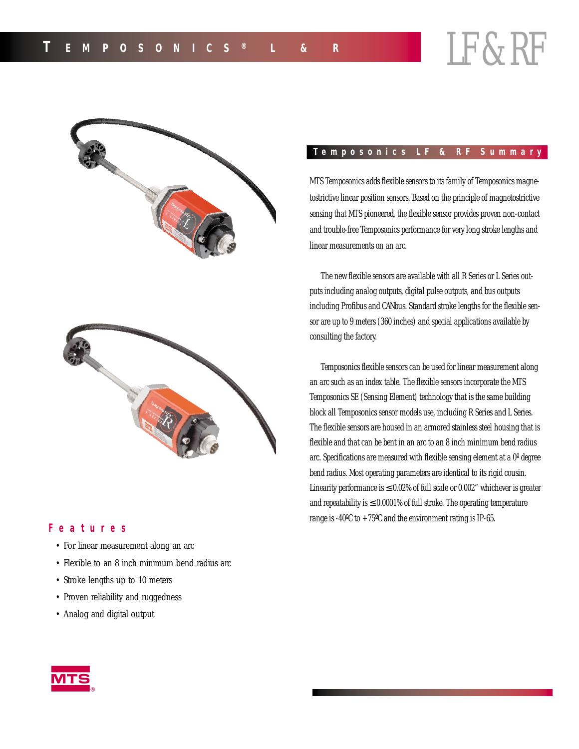

### **Features**

- For linear measurement along an arc
- Flexible to an 8 inch minimum bend radius arc
- Stroke lengths up to 10 meters
- Proven reliability and ruggedness
- Analog and digital output

# **Temposonics LF & RF Summary**

MTS Temposonics adds flexible sensors to its family of Temposonics magnetostrictive linear position sensors. Based on the principle of magnetostrictive sensing that MTS pioneered, the flexible sensor provides proven non-contact and trouble-free Temposonics performance for very long stroke lengths and linear measurements on an arc.

The new flexible sensors are available with all R Series or L Series outputs including analog outputs, digital pulse outputs, and bus outputs including Profibus and CANbus. Standard stroke lengths for the flexible sensor are up to 9 meters (360 inches) and special applications available by consulting the factory.

Temposonics flexible sensors can be used for linear measurement along an arc such as an index table. The flexible sensors incorporate the MTS Temposonics SE (Sensing Element) technology that is the same building block all Temposonics sensor models use, including R Series and L Series. The flexible sensors are housed in an armored stainless steel housing that is flexible and that can be bent in an arc to an 8 inch minimum bend radius arc. Specifications are measured with flexible sensing element at a 0º degree bend radius. Most operating parameters are identical to its rigid cousin. Linearity performance is  $\leq 0.02\%$  of full scale or 0.002" whichever is greater and repeatability is  $\leq 0.0001\%$  of full stroke. The operating temperature range is -40°C to  $+75$ °C and the environment rating is IP-65.

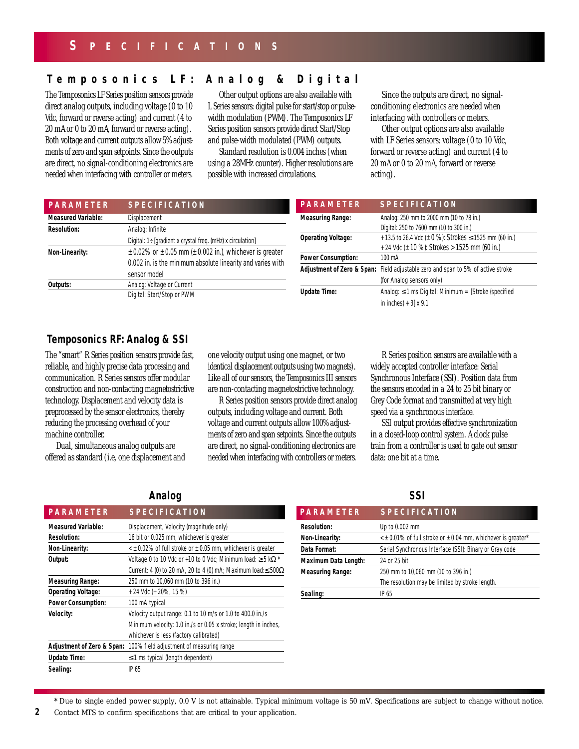## **Temposonics LF: Analog & Digital**

The Temposonics LF Series position sensors provide direct analog outputs, including voltage (0 to 10 Vdc, forward or reverse acting) and current (4 to 20 mA or 0 to 20 mA, forward or reverse acting). Both voltage and current outputs allow 5% adjustments of zero and span setpoints. Since the outputs are direct, no signal-conditioning electronics are needed when interfacing with controller or meters.

Other output options are also available with L Series sensors: digital pulse for start/stop or pulsewidth modulation (PWM). The Temposonics LF Series position sensors provide direct Start/Stop and pulse-width modulated (PWM) outputs.

Standard resolution is 0.004 inches (when using a 28MHz counter). Higher resolutions are possible with increased circulations.

Since the outputs are direct, no signalconditioning electronics are needed when interfacing with controllers or meters.

Other output options are also available with LF Series sensors: voltage (0 to 10 Vdc, forward or reverse acting) and current (4 to 20 mA or 0 to 20 mA, forward or reverse acting).

| <b>PARAMETER</b>          | <b>SPECIFICATION</b>                                                  | <b>PARAMETER</b>          | <b>SPECIFICATION</b>                                                             |
|---------------------------|-----------------------------------------------------------------------|---------------------------|----------------------------------------------------------------------------------|
| <b>Measured Variable:</b> | Displacement                                                          | <b>Measuring Range:</b>   | Analog: 250 mm to 2000 mm (10 to 78 in.)                                         |
| <b>Resolution:</b>        | Analog: Infinite                                                      |                           | Digital: 250 to 7600 mm (10 to 300 in.)                                          |
|                           | Digital: $1 \div$ [gradient x crystal freq. (mHz) x circulation]      | <b>Operating Voltage:</b> | + 13.5 to 26.4 Vdc ( $\pm$ 0 %): Strokes $\leq$ 1525 mm (60 in.)                 |
| Non-Linearity:            | $\pm$ 0.02% or $\pm$ 0.05 mm ( $\pm$ 0.002 in.), whichever is greater |                           | + 24 Vdc ( $\pm$ 10 %): Strokes > 1525 mm (60 in.)                               |
|                           | 0.002 in. is the minimum absolute linearity and varies with           | <b>Power Consumption:</b> | 100 mA                                                                           |
|                           | sensor model                                                          |                           | Adjustment of Zero & Span: Field adjustable zero and span to 5% of active stroke |
| Outputs:                  | Analog: Voltage or Current                                            |                           | (for Analog sensors only)                                                        |
|                           | Digital: Start/Stop or PWM                                            | <b>Update Time:</b>       | Analog: $\leq$ 1 ms Digital: Minimum = [Stroke (specified                        |
|                           |                                                                       |                           | in inches $+3$ x 9.1                                                             |

# **Temposonics RF: Analog & SSI**

The "smart" R Series position sensors provide fast, reliable, and highly precise data processing and communication. R Series sensors offer modular construction and non-contacting magnetostrictive technology. Displacement and velocity data is preprocessed by the sensor electronics, thereby reducing the processing overhead of your machine controller.

Dual, simultaneous analog outputs are offered as standard (i.e, one displacement and one velocity output using one magnet, or two identical displacement outputs using two magnets). Like all of our sensors, the Temposonics III sensors are non-contacting magnetostrictive technology.

R Series position sensors provide direct analog outputs, including voltage and current. Both voltage and current outputs allow 100% adjustments of zero and span setpoints. Since the outputs are direct, no signal-conditioning electronics are needed when interfacing with controllers or meters.

R Series position sensors are available with a widely accepted controller interface: Serial Synchronous Interface (SSI). Position data from the sensors encoded in a 24 to 25 bit binary or Grey Code format and transmitted at very high speed via a synchronous interface.

SSI output provides effective synchronization in a closed-loop control system. A clock pulse train from a controller is used to gate out sensor data: one bit at a time.

# **Analog SSI**

| <b>PARAMETER</b>                      | <b>SPECIFICATION</b>                                                       | <b>PARAMETER</b>            | <b>SPECIFICATION</b>                       |
|---------------------------------------|----------------------------------------------------------------------------|-----------------------------|--------------------------------------------|
| <b>Measured Variable:</b>             | Displacement, Velocity (magnitude only)                                    | <b>Resolution:</b>          | Up to 0.002 mm                             |
| <b>Resolution:</b>                    | 16 bit or 0.025 mm, whichever is greater                                   | Non-Linearity:              | $\leq$ ± 0.01% of full stroke or $\pm$ 0.0 |
| Non-Linearity:                        | $\leq$ ± 0.02% of full stroke or $\pm$ 0.05 mm, whichever is greater       | Data Format:                | Serial Synchronous Interface (S            |
| Output:                               | Voltage 0 to 10 Vdc or +10 to 0 Vdc; Minimum load: $\geq$ 5 k $\Omega$ *   | <b>Maximum Data Length:</b> | 24 or 25 bit                               |
|                                       | Current: 4 (0) to 20 mA, 20 to 4 (0) mA; Maximum load: $\leq$ 500 $\Omega$ | <b>Measuring Range:</b>     | 250 mm to 10,060 mm (10 to 3               |
| <b>Measuring Range:</b>               | 250 mm to 10,060 mm (10 to 396 in.)                                        |                             | The resolution may be limited b            |
| <b>Operating Voltage:</b>             | $+ 24$ Vdc ( $+ 20\%$ , 15 %)                                              | Sealing:                    | IP <sub>65</sub>                           |
| <b>Power Consumption:</b>             | 100 mA typical                                                             |                             |                                            |
| <b>Velocity:</b>                      | Velocity output range: 0.1 to 10 m/s or 1.0 to 400.0 in./s                 |                             |                                            |
|                                       | Minimum velocity: 1.0 in./s or 0.05 x stroke; length in inches,            |                             |                                            |
|                                       | whichever is less (factory calibrated)                                     |                             |                                            |
| <b>Adjustment of Zero &amp; Span:</b> | 100% field adjustment of measuring range                                   |                             |                                            |
| <b>Update Time:</b>                   | $\leq$ 1 ms typical (length dependent)                                     |                             |                                            |
| Sealing:                              | IP 65                                                                      |                             |                                            |

| <b>SPECIFICATION</b>                                                      |
|---------------------------------------------------------------------------|
| Up to 0.002 mm                                                            |
| $\epsilon$ ± 0.01% of full stroke or $\pm$ 0.04 mm, whichever is greater* |
| Serial Synchronous Interface (SSI): Binary or Gray code                   |
| 24 or 25 bit                                                              |
| 250 mm to 10,060 mm (10 to 396 in.)                                       |
| The resolution may be limited by stroke length.                           |
| IP 65                                                                     |
|                                                                           |

\* Due to single ended power supply, 0.0 V is not attainable. Typical minimum voltage is 50 mV. Specifications are subject to change without notice.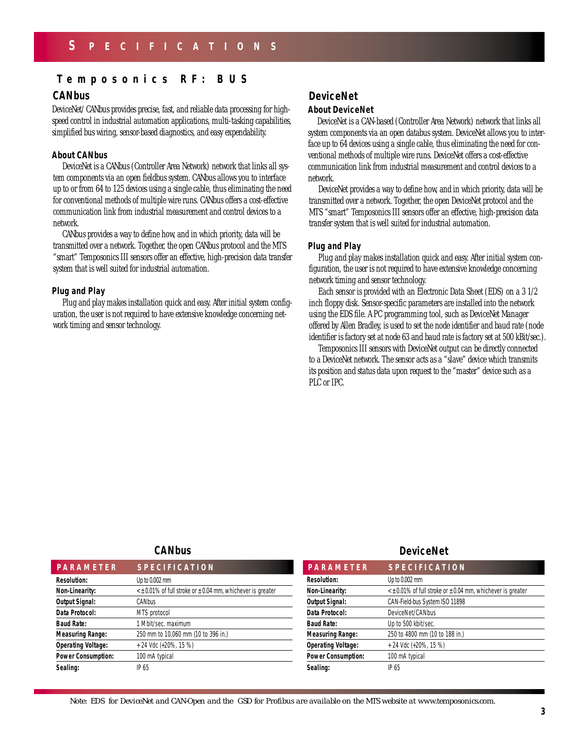# **Temposonics RF: BUS**

## **CANbus**

DeviceNet/ CANbus provides precise, fast, and reliable data processing for highspeed control in industrial automation applications, multi-tasking capabilities, simplified bus wiring, sensor-based diagnostics, and easy expendability.

#### **About CANbus**

DeviceNet is a CANbus (Controller Area Network) network that links all system components via an open fieldbus system. CANbus allows you to interface up to or from 64 to 125 devices using a single cable, thus eliminating the need for conventional methods of multiple wire runs. CANbus offers a cost-effective communication link from industrial measurement and control devices to a network.

CANbus provides a way to define how, and in which priority, data will be transmitted over a network. Together, the open CANbus protocol and the MTS "smart" Temposonics III sensors offer an effective, high-precision data transfer system that is well suited for industrial automation.

### **Plug and Play**

Plug and play makes installation quick and easy. After initial system configuration, the user is not required to have extensive knowledge concerning network timing and sensor technology.

# **DeviceNet**

#### **About DeviceNet**

DeviceNet is a CAN-based (Controller Area Network) network that links all system components via an open databus system. DeviceNet allows you to interface up to 64 devices using a single cable, thus eliminating the need for conventional methods of multiple wire runs. DeviceNet offers a cost-effective communication link from industrial measurement and control devices to a network.

DeviceNet provides a way to define how, and in which priority, data will be transmitted over a network. Together, the open DeviceNet protocol and the MTS "smart" Temposonics III sensors offer an effective, high-precision data transfer system that is well suited for industrial automation.

#### **Plug and Play**

Plug and play makes installation quick and easy. After initial system configuration, the user is not required to have extensive knowledge concerning network timing and sensor technology.

Each sensor is provided with an Electronic Data Sheet (EDS) on a 3 1/2 inch floppy disk. Sensor-specific parameters are installed into the network using the EDS file. A PC programming tool, such as DeviceNet Manager offered by Allen Bradley, is used to set the node identifier and baud rate (node identifier is factory set at node 63 and baud rate is factory set at 500 kBit/sec.).

Temposonics III sensors with DeviceNet output can be directly connected to a DeviceNet network. The sensor acts as a "slave" device which transmits its position and status data upon request to the "master" device such as a PLC or IPC.

### **CANbus**

| <b>PARAMETER</b>          | <b>SPECIFICATION</b>                                                 |
|---------------------------|----------------------------------------------------------------------|
| <b>Resolution:</b>        | Up to $0.002$ mm                                                     |
| Non-Linearity:            | $\leq$ ± 0.01% of full stroke or $\pm$ 0.04 mm, whichever is greater |
| <b>Output Signal:</b>     | CANbus                                                               |
| Data Protocol:            | MTS protocol                                                         |
| <b>Baud Rate:</b>         | 1 Mbit/sec. maximum                                                  |
| <b>Measuring Range:</b>   | 250 mm to 10,060 mm (10 to 396 in.)                                  |
| <b>Operating Voltage:</b> | + 24 Vdc (+20%, 15 %)                                                |
| <b>Power Consumption:</b> | 100 mA typical                                                       |
| Sealing:                  | IP 65                                                                |

# **Resolution:** Up to 0.002 mm **Non-Linearity:**  $\lt t \pm 0.01\%$  of full stroke or  $\pm 0.04$  mm, whichever is greater **Output Signal:** CAN-Field-bus System ISO 11898 Data Protocol: DeviceNet/CANbus **Baud Rate:** Up to 500 kbit/sec. **Measuring Range:** 250 to 4800 mm (10 to 188 in.) **Operating Voltage:**  $+ 24$  Vdc (+20%, 15 %) **Power Consumption:** 100 mA typical Sealing: IP 65 **DeviceNet PARAMETER SPECIFICATION PARAMETER SPECIFICATION**

*Note: EDS for DeviceNet and CAN-Open and the GSD for Profibus are available on the MTS website at www.temposonics.com.*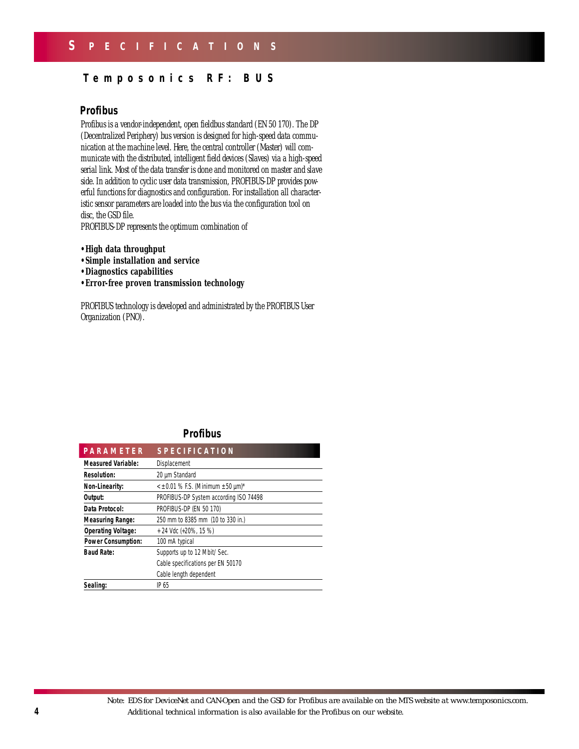# **Temposonics RF: BUS**

# **Profibus**

Profibus is a vendor-independent, open fieldbus standard (EN 50 170). The DP (Decentralized Periphery) bus version is designed for high-speed data communication at the machine level. Here, the central controller (Master) will communicate with the distributed, intelligent field devices (Slaves) via a high-speed serial link. Most of the data transfer is done and monitored on master and slave side. In addition to cyclic user data transmission, PROFIBUS-DP provides powerful functions for diagnostics and configuration. For installation all characteristic sensor parameters are loaded into the bus via the configuration tool on disc, the GSD file.

PROFIBUS-DP represents the optimum combination of

- **•High data throughput**
- **•Simple installation and service**
- **•Diagnostics capabilities**
- **•Error-free proven transmission technology**

PROFIBUS technology is developed and administrated by the PROFIBUS User Organization (PNO).

#### **Profibus**

| <b>PARAMETER</b>                                          | <b>SPECIFICATION</b>              |
|-----------------------------------------------------------|-----------------------------------|
| <b>Measured Variable:</b>                                 | Displacement                      |
| <b>Resolution:</b>                                        | 20 µm Standard                    |
| $\leq$ ± 0.01 % F.S. (Minimum ± 50 µm)*<br>Non-Linearity: |                                   |
| PROFIBUS-DP System according ISO 74498<br>Output:         |                                   |
| PROFIBUS-DP (EN 50 170)<br>Data Protocol:                 |                                   |
| <b>Measuring Range:</b>                                   | 250 mm to 8385 mm (10 to 330 in.) |
| <b>Operating Voltage:</b>                                 | + 24 Vdc (+20%, 15 %)             |
| <b>Power Consumption:</b>                                 | 100 mA typical                    |
| <b>Baud Rate:</b>                                         | Supports up to 12 Mbit/ Sec.      |
|                                                           | Cable specifications per EN 50170 |
|                                                           | Cable length dependent            |
| Sealing:                                                  | IP 65                             |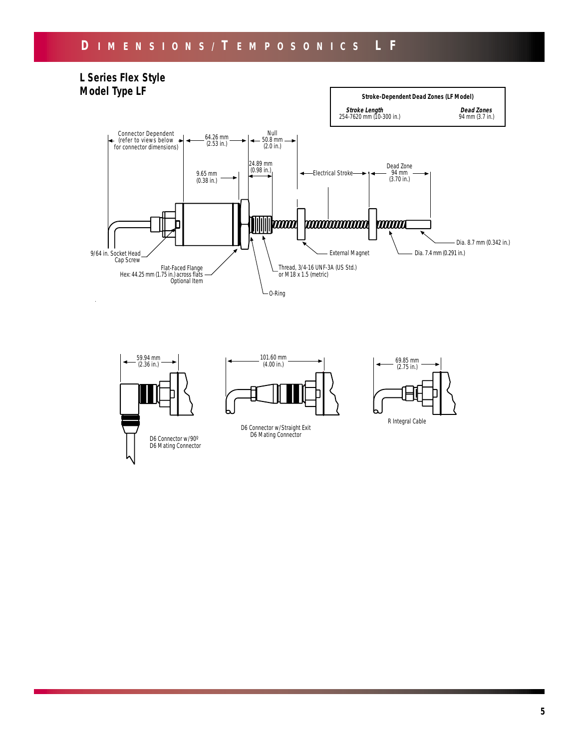# **D IMENSIONS/ T EMPOSONICS L F**



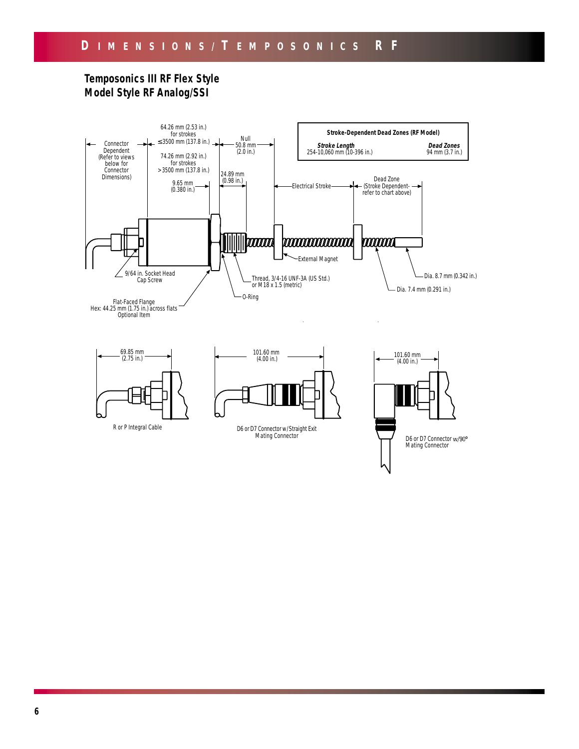# **Temposonics III RF Flex Style Model Style RF Analog/SSI**







R or P Integral Cable

D6 or D7 Connector w/Straight Exit Mating Connector

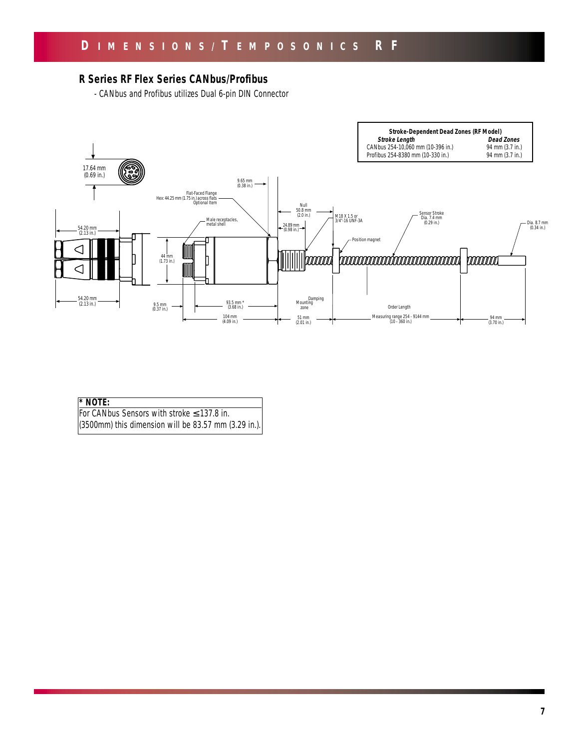# **R Series RF Flex Series CANbus/Profibus**

- CANbus and Profibus utilizes Dual 6-pin DIN Connector



### **\* NOTE:**

For CANbus Sensors with stroke ≤ 137.8 in. (3500mm) this dimension will be 83.57 mm (3.29 in.).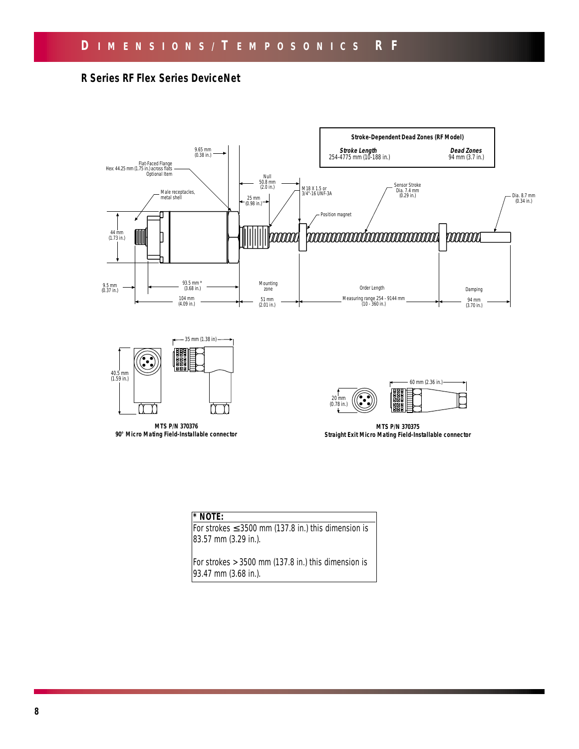# **R Series RF Flex Series DeviceNet**







**MTS P/N 370376 90° Micro Mating Field-Installable connector**

**MTS P/N 370375 Straight Exit Micro Mating Field-Installable connector**

|--|

For strokes  $\leq$  3500 mm (137.8 in.) this dimension is 83.57 mm (3.29 in.).

For strokes  $> 3500$  mm (137.8 in.) this dimension is 93.47 mm (3.68 in.).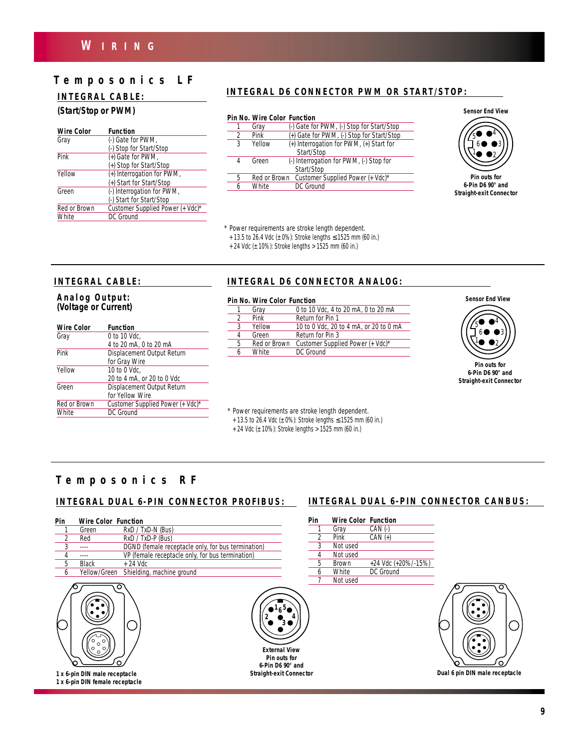# **W IRING**

# **Temposonics LF**

# **INTEGRAL CABLE:**

#### **(Start/Stop or PWM)**

| <b>Function</b>                  |
|----------------------------------|
| (-) Gate for PWM,                |
| (-) Stop for Start/Stop          |
| (+) Gate for PWM,                |
| (+) Stop for Start/Stop          |
| (+) Interrogation for PWM,       |
| (+) Start for Start/Stop         |
| (-) Interrogation for PWM,       |
| (-) Start for Start/Stop         |
| Customer Supplied Power (+ Vdc)* |
| DC Ground                        |
|                                  |

# **INTEGRAL D6 CONNECTOR PWM OR START/STOP:**

#### *Pin No. Wire Color Function*

|               | Gray   | (-) Gate for PWM, (-) Stop for Start/Stop     |
|---------------|--------|-----------------------------------------------|
| $\mathcal{P}$ | Pink   | (+) Gate for PWM, (-) Stop for Start/Stop     |
| 3             | Yellow | (+) Interrogation for PWM, (+) Start for      |
|               |        | Start/Stop                                    |
| 4             | Green  | (-) Interrogation for PWM, (-) Stop for       |
|               |        | Start/Stop                                    |
| 5             |        | Red or Brown Customer Supplied Power (+ Vdc)* |
| 6             | White  | DC Ground                                     |
|               |        |                                               |

**Sensor End View**



*6-Pin D6 90° and Straight-exit Connector*

*\* Power requirements are stroke length dependent.*

*+ 13.5 to 26.4 Vdc (± 0%): Stroke lengths* ≤ *1525 mm (60 in.)*

*+ 24 Vdc (± 10%): Stroke lengths > 1525 mm (60 in.)*

#### **INTEGRAL CABLE:**

#### **Analog Output: (Voltage or Current)**

| <b>Wire Color</b> | <b>Function</b>                  |
|-------------------|----------------------------------|
| Gray              | 0 to 10 Vdc.                     |
|                   | 4 to 20 mA, 0 to 20 mA           |
| Pink              | Displacement Output Return       |
|                   | for Gray Wire                    |
| Yellow            | 10 to 0 Vdc.                     |
|                   | 20 to 4 mA, or 20 to 0 Vdc       |
| Green             | Displacement Output Return       |
|                   | for Yellow Wire                  |
| Red or Brown      | Customer Supplied Power (+ Vdc)* |
| White             | DC Ground                        |
|                   |                                  |

## **INTEGRAL D6 CONNECTOR ANALOG:**

#### *Pin No. Wire Color Function*

|   | FIII IVU. VVIIE LUIUI TUIILIIUII |                                        |
|---|----------------------------------|----------------------------------------|
|   | Gray                             | 0 to 10 Vdc, 4 to 20 mA, 0 to 20 mA    |
| 2 | Pink                             | Return for Pin 1                       |
| 3 | Yellow                           | 10 to 0 Vdc, 20 to 4 mA, or 20 to 0 mA |
| 4 | Green                            | Return for Pin 3                       |
| 5 | Red or Brown                     | Customer Supplied Power (+ Vdc)*       |
| 6 | White                            | DC Ground                              |
|   |                                  |                                        |



*Pin outs for 6-Pin D6 90° and Straight-exit Connector*

*\* Power requirements are stroke length dependent.*

*+ 13.5 to 26.4 Vdc (± 0%): Stroke lengths* ≤ *1525 mm (60 in.)*

*+ 24 Vdc (± 10%): Stroke lengths > 1525 mm (60 in.)*

# **Temposonics RF**

| Green<br>Red | RxD / TxD-N (Bus)<br>RxD / TxD-P (Bus)<br>DGND (female receptacle only, for bus termination) |
|--------------|----------------------------------------------------------------------------------------------|
|              |                                                                                              |
|              |                                                                                              |
|              |                                                                                              |
|              | VP (female receptacle only, for bus termination)                                             |
| <b>Black</b> | $+24$ Vdc                                                                                    |
| Yellow/Green | Shielding, machine ground                                                                    |
|              | <b>External Vie</b><br>Pin outs for                                                          |
|              |                                                                                              |

**1 x 6-pin DIN male receptacle 1 x 6-pin DIN female receptacle**



# **INTEGRAL DUAL 6-PIN CONNECTOR PROFIBUS: INTEGRAL DUAL 6-PIN CONNECTOR CANBUS:**

| Pin | <b>Wire Color Function</b> |                     |
|-----|----------------------------|---------------------|
|     | Gray                       | $CAN$ $($ - $)$     |
|     | Pink                       | $CAN (+)$           |
| ર   | Not used                   |                     |
|     | Not used                   |                     |
| 5   | <b>Brown</b>               | +24 Vdc (+20%/-15%) |
|     | White                      | DC Ground           |
|     | Not used                   |                     |



**Dual 6 pin DIN male receptacle**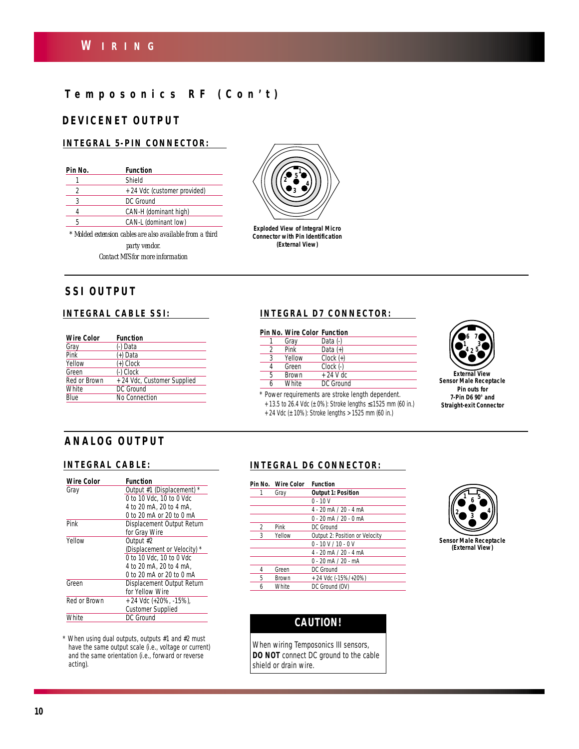# **Temposonics RF (Con ' t )**

# **DEVICENET OUTPUT**

### **INTEGRAL 5-PIN CONNECTOR:**

| Pin No. | Function                                                  |
|---------|-----------------------------------------------------------|
|         | Shield                                                    |
| 2       | + 24 Vdc (customer provided)                              |
|         | DC Ground                                                 |
| 4       | CAN-H (dominant high)                                     |
| 5       | CAN-L (dominant low)                                      |
|         | * Molded extension cables are also available from a third |

*\* Molded extension cables are also available from a third party vendor. Contact MTS for more information*



| <b>Wire Color</b> | <b>Function</b>             |
|-------------------|-----------------------------|
| Gray              | (-) Data                    |
| Pink              | (+) Data                    |
| Yellow            | (+) Clock                   |
| Green             | (-) Clock                   |
| Red or Brown      | + 24 Vdc, Customer Supplied |
| White             | DC Ground                   |
| Blue              | No Connection               |



**Exploded View of Integral Micro Connector with Pin Identification (External View)**

# **INTEGRAL CABLE SSI: INTEGRAL D7 CONNECTOR:**

|   | <b>Pin No. Wire Color Function</b> |               |
|---|------------------------------------|---------------|
|   | Gray                               | Data (-)      |
| 2 | Pink                               | Data $(+)$    |
| 3 | Yellow                             | $Clock (+)$   |
|   | Green                              | $Clock$ $(-)$ |
| 5 | <b>Brown</b>                       | $+24$ V dc    |
| h | <b>White</b>                       | DC Ground     |
|   |                                    |               |

*\* Power requirements are stroke length dependent. + 13.5 to 26.4 Vdc (± 0%): Stroke lengths* ≤ *1525 mm (60 in.)*

*+ 24 Vdc (± 10%): Stroke lengths > 1525 mm (60 in.)*



**External View Sensor Male Receptacle** *Pin outs for 7-Pin D6 90° and Straight-exit Connector*

# **ANALOG OUTPUT**

| <b>Function</b>                     |
|-------------------------------------|
| $\star$<br>Output #1 (Displacement) |
| 0 to 10 Vdc. 10 to 0 Vdc            |
| 4 to 20 mA, 20 to 4 mA.             |
| 0 to 20 mA or 20 to 0 mA            |
| Displacement Output Return          |
| for Gray Wire                       |
| Output #2                           |
| (Displacement or Velocity)          |
| 0 to 10 Vdc. 10 to 0 Vdc            |
| 4 to 20 mA, 20 to 4 mA.             |
| 0 to 20 mA or 20 to 0 mA            |
| Displacement Output Return          |
| for Yellow Wire                     |
| + 24 Vdc (+20%, -15%),              |
| <b>Customer Supplied</b>            |
| DC Ground                           |
|                                     |

*\* When using dual outputs, outputs #1 and #2 must have the same output scale (i.e., voltage or current) and the same orientation (i.e., forward or reverse acting).*

# **INTEGRAL CABLE: INTEGRAL D6 CONNECTOR:**

|               | Pin No. Wire Color | <b>Function</b>                |
|---------------|--------------------|--------------------------------|
| 1             | Gray               | <b>Output 1: Position</b>      |
|               |                    | $0 - 10V$                      |
|               |                    | $4 - 20$ mA $/ 20 - 4$ mA      |
|               |                    | $0 - 20$ mA $/ 20 - 0$ mA      |
| $\mathcal{P}$ | Pink               | DC Ground                      |
| 3             | Yellow             | Output 2: Position or Velocity |
|               |                    | $0 - 10 V / 10 - 0 V$          |
|               |                    | $4 - 20$ mA $/ 20 - 4$ mA      |
|               |                    | $0 - 20$ mA $/ 20 - mA$        |
| 4             | Green              | DC Ground                      |
| 5             | <b>Brown</b>       | + 24 Vdc (-15%/+20%)           |
|               | <b>White</b>       | DC Ground (OV)                 |



# **CAUTION!**

*When wiring Temposonics III sensors, DO NOT connect DC ground to the cable shield or drain wire.*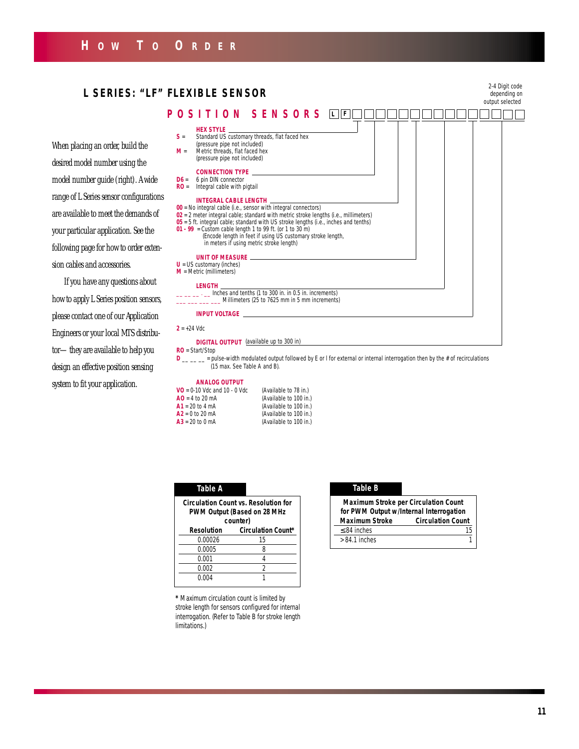# **H OW T O O RDER**

#### *2-4 Digit code depending on output selected* **POSITION SENSORS HEX STYLE S** = Standard US customary threads, flat faced hex (pressure pipe not included) **M** = Metric threads, flat faced hex (pressure pipe not included) **CONNECTION TYPE D6** = 6 pin DIN connector **RO** = Integral cable with pigtail **INTEGRAL CABLE LENGTH 00** = No integral cable (i.e., sensor with integral connectors) **02** = 2 meter integral cable; standard with metric stroke lengths (i.e., millimeters) **05** = 5 ft. integral cable; standard with US stroke lengths (i.e., inches and tenths) **01 - 99** = Custom cable length 1 to 99 ft. (or 1 to 30 m) (Encode length in feet if using US customary stroke length, in meters if using metric stroke length) **UNIT OF MEASURE U** = US customary (inches) **M** = Metric (millimeters) **LENGTH**  $\frac{2}{100}$  .  $\frac{1}{200}$  in  $\frac{1}{200}$  in. in 0.5 in. increments) \_\_\_ \_\_\_ \_\_\_ \_\_\_ Millimeters (25 to 7625 mm in 5 mm increments) **INPUT VOLTAGE**  $2 = +24$  Vdc **DIGITAL OUTPUT**  (available up to 300 in)**RO** = Start/Stop **D** \_\_ \_ = pulse-width modulated output followed by E or I for external or internal interrogation then by the # of recirculations When placing an order, build the desired model number using the model number guide (right). A wide range of L Series sensor configurations are available to meet the demands of your particular application. See the following page for how to order extension cables and accessories. If you have any questions about how to apply L Series position sensors, please contact one of our Application Engineers or your local MTS distribu-**L SERIES: "LF" FLEXIBLE SENSOR**  $L$  **F**

tor—they are available to help you design an effective position sensing system to fit your application.

(15 max. See Table A and B).

#### **ANALOG OUTPUT**

| $VO = 0-10$ Vdc and 10 - 0 Vdc | (Available to 78 in.)  |
|--------------------------------|------------------------|
| $AO = 4$ to 20 mA              | (Available to 100 in.) |
| $A1 = 20$ to 4 mA              | (Available to 100 in.) |
| $A2 = 0$ to 20 mA              | (Available to 100 in.) |
| $A3 = 20$ to 0 mA              | (Available to 100 in.) |

| <b>Table A</b> |                                                                                 |
|----------------|---------------------------------------------------------------------------------|
|                | Circulation Count vs. Resolution for<br>PWM Output (Based on 28 MHz<br>counter) |
| Resolution     | <b>Circulation Count*</b>                                                       |
| 0.00026        | 15                                                                              |
| 0.0005         | 8                                                                               |
| 0.001          |                                                                                 |
| 0.002          | 2                                                                               |
| 0.004          |                                                                                 |

*\* Maximum circulation count is limited by stroke length for sensors configured for internal interrogation. (Refer to Table B for stroke length limitations.)*

#### **Table A Table B**

| <b>Maximum Stroke per Circulation Count</b><br>for PWM Output w/Internal Interrogation |                          |
|----------------------------------------------------------------------------------------|--------------------------|
| <b>Maximum Stroke</b>                                                                  | <b>Circulation Count</b> |
| $\leq$ 84 inches                                                                       |                          |
| $> 84.1$ inches                                                                        |                          |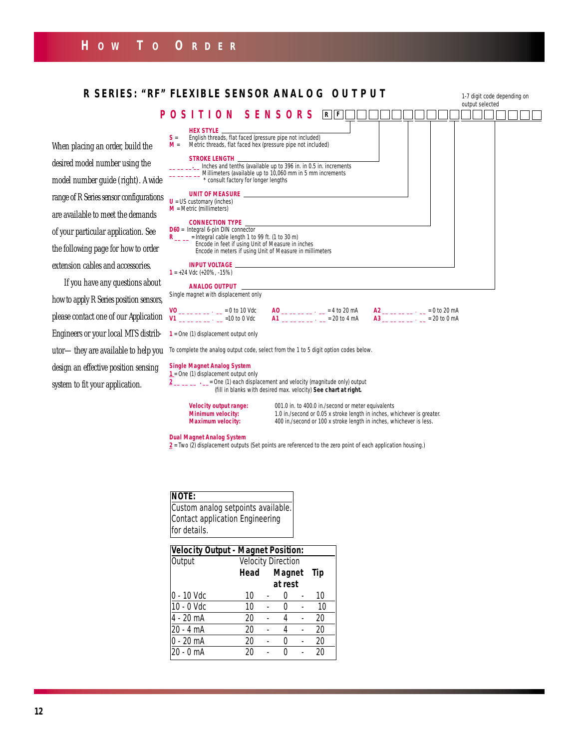

| NOTE:                              |
|------------------------------------|
| Custom analog setpoints available. |
| Contact application Engineering    |
| for details.                       |

| <b>Velocity Output - Magnet Position:</b> |                           |  |         |  |     |
|-------------------------------------------|---------------------------|--|---------|--|-----|
| Output                                    | <b>Velocity Direction</b> |  |         |  |     |
|                                           | Head                      |  | Magnet  |  | Tip |
|                                           |                           |  | at rest |  |     |
| 0 - 10 Vdc                                | 10                        |  | 0       |  | 10  |
| 10 - 0 Vdc                                | 10                        |  | O       |  | 10  |
| 4 - 20 mA                                 | 20                        |  | 4       |  | 20  |
| 20 - 4 mA                                 | 20                        |  | 4       |  | 20  |
| $0 - 20$ mA                               | 20                        |  | O       |  | 20  |
| $20 - 0$ mA                               | 20                        |  | Λ       |  | 20  |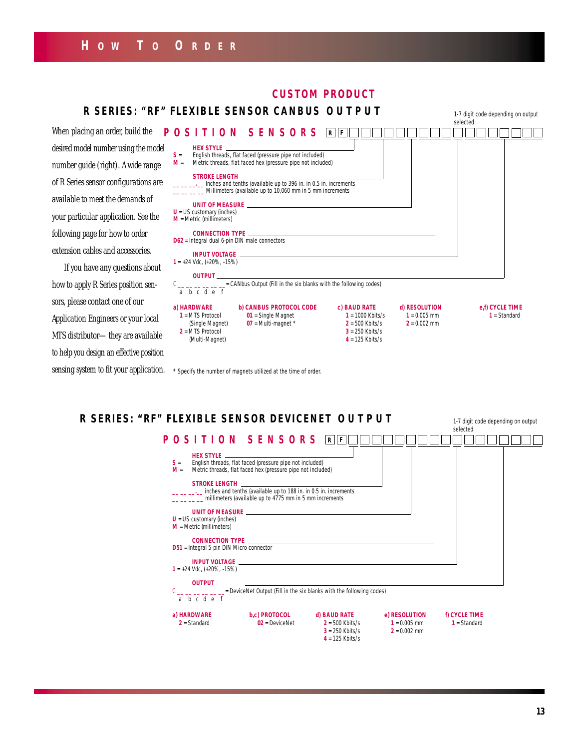# **H OW T O O RDER**

# **CUSTOM PRODUCT**

When placing an order, build desired model number using the number guide (right). A wide of R Series sensor configurations available to meet the demand your particular application. S following page for how to ord extension cables and accessor

If you have any questions how to apply R Series position sors, please contact one of our Application Engineers or your MTS distributor-they are av to help you design an effective p

|                                                                                                                                                                             |                                                           | R SERIES: "RF" FLEXIBLE SENSOR CANBUS OUTPUT                                                                                                                                 |                                         |                                  | 1-7 digit code depending on output<br>selected |
|-----------------------------------------------------------------------------------------------------------------------------------------------------------------------------|-----------------------------------------------------------|------------------------------------------------------------------------------------------------------------------------------------------------------------------------------|-----------------------------------------|----------------------------------|------------------------------------------------|
| cing an order, build the $\fbox{\tt P}$ O $\fbox{\tt S}$   $\fbox{\tt T}$   O $\fbox{\tt N}$ $\fbox{\tt S}$ E $\fbox{\tt N}$ $\fbox{\tt S}$ O $\fbox{\tt R}$ $\fbox{\tt S}$ |                                                           |                                                                                                                                                                              | R  F                                    |                                  |                                                |
| odel number using the model                                                                                                                                                 | $S =$                                                     | English threads, flat faced (pressure pipe not included)                                                                                                                     |                                         |                                  |                                                |
| uide (right). A wide range                                                                                                                                                  | $M =$                                                     | Metric threads, flat faced hex (pressure pipe not included)                                                                                                                  |                                         |                                  |                                                |
| s sensor configurations are                                                                                                                                                 |                                                           | STROKE LENGTH <b>Andrew STROKE</b><br>__ __ __ lnches and tenths (available up to 396 in. in 0.5 in. increments<br>Millimeters (available up to 10,060 mm in 5 mm increments |                                         |                                  |                                                |
| to meet the demands of                                                                                                                                                      |                                                           | UNIT OF MEASURE NAME AND STREET AND THE STREET AND THE STREET AND THE STREET AND THE STREET AND THE STREET AND                                                               |                                         |                                  |                                                |
| cular application. See the                                                                                                                                                  | $U = US$ customary (inches)<br>$M =$ Metric (millimeters) |                                                                                                                                                                              |                                         |                                  |                                                |
| page for how to order                                                                                                                                                       | $D62$ = Integral dual 6-pin DIN male connectors           | CONNECTION TYPE <b>And the CONNECTION</b> TYPE                                                                                                                               |                                         |                                  |                                                |
| cables and accessories.                                                                                                                                                     |                                                           |                                                                                                                                                                              |                                         |                                  |                                                |
| have any questions about                                                                                                                                                    | $1 = +24$ Vdc, $(+20\%,-15\%)$<br><b>OUTPUT</b>           |                                                                                                                                                                              |                                         |                                  |                                                |
| ply R Series position sen-                                                                                                                                                  | a b c d e f                                               | C __ __ __ __ __ __ = CANbus Output (Fill in the six blanks with the following codes)                                                                                        |                                         |                                  |                                                |
| se contact one of our                                                                                                                                                       | a) HARDWARE                                               | b) CANBUS PROTOCOL CODE                                                                                                                                                      | c) BAUD RATE                            | d) RESOLUTION                    | e,f) CYCLE TIME                                |
| n Engineers or your local                                                                                                                                                   | $1 = MTS$ Protocol<br>(Single Magnet)                     | $01$ = Single Magnet<br>$07$ = Multi-magnet $*$                                                                                                                              | $1 = 1000$ Kbits/s<br>$2 = 500$ Kbits/s | $1 = 0.005$ mm<br>$2 = 0.002$ mm | $1 = Standard$                                 |
| ibutor—they are available                                                                                                                                                   | $2 = MTS$ Protocol<br>(Multi-Magnet)                      |                                                                                                                                                                              | $3 = 250$ Kbits/s<br>$4 = 125$ Kbits/s  |                                  |                                                |
| u design an effective position.                                                                                                                                             |                                                           |                                                                                                                                                                              |                                         |                                  |                                                |

sensing system to fit your application.  $*$  Specify the number of magnets utilized at the time of order.

# **R SERIES: "RF" FLEXIBLE SENSOR DEVICENET OUTPUT**

*selected* **POSITION SENSORS R F HEX STYLE S** = English threads, flat faced (pressure pipe not included) **M** = Metric threads, flat faced hex (pressure pipe not included) Metric threads, flat faced hex (pressure pipe not included) **STROKE LENGTH \_\_ \_\_ \_\_.\_\_** inches and tenths (available up to 188 in. in 0.5 in. increments **\_\_ \_\_ \_\_ \_\_** millimeters (available up to 4775 mm in 5 mm increments **UNIT OF MEASURE U** = US customary (inches) **M** = Metric (millimeters) **CONNECTION TYPE D51** = Integral 5-pin DIN Micro connector **INPUT VOLTAGE 1** = +24 Vdc, (+20%, -15%) **OUTPUT**  $\frac{1}{1}$   $\frac{1}{1}$   $\frac{1}{1}$   $\frac{1}{1}$  = DeviceNet Output (Fill in the six blanks with the following codes) a b c d e f **a) HARDWARE b,c) PROTOCOL <b>d) BAUD RATE e) RESOLUTION <b>f)** CYCLE TIME<br>
2 = Standard **02** = DeviceNet **2** = 500 Kbits/s **1** = 0.005 mm **1** = Standard **2** = Standard **02** = DeviceNet **2** = 500 Kbits/s **1** = 0.005 mm **1** = Standard **3** = 250 Kbits/s **2** = 0.002 mm

**4** = 125 Kbits/s

*1-7 digit code depending on output*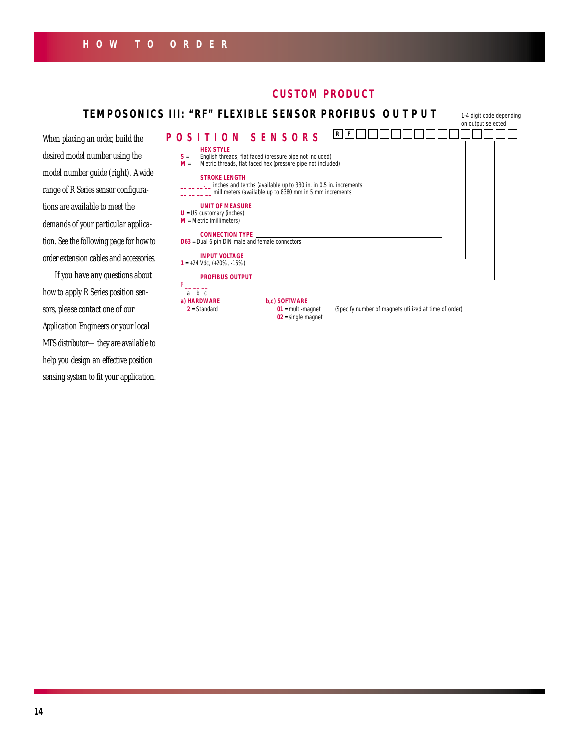# **HOW TO ORDER**

# **CUSTOM PRODUCT**



how to apply R Series position sensors, please contact one of our Application Engineers or your local MTS distributor—they are available to help you design an effective position sensing system to fit your application.

#### **a) HARDWARE b,c) SOFTWARE**

**2** = Standard **01** = multi-magnet *(Specify number of magnets utilized at time of order)* **02** = single magnet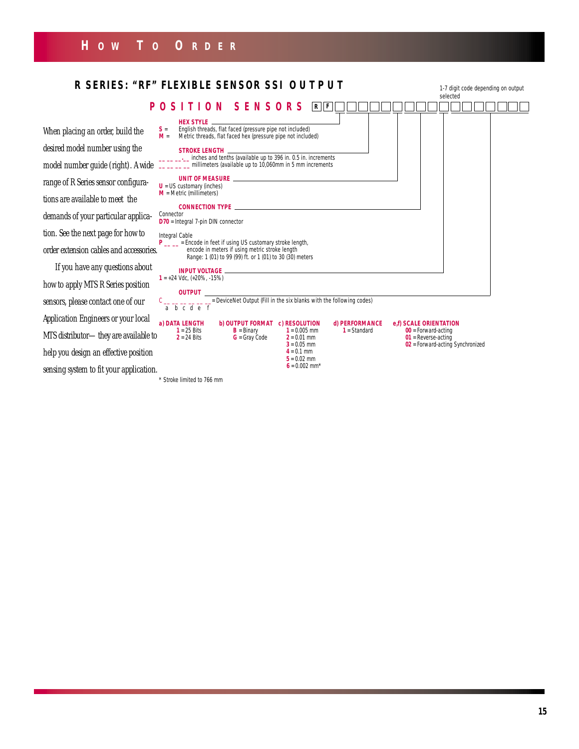

*\* Stroke limited to 766 mm*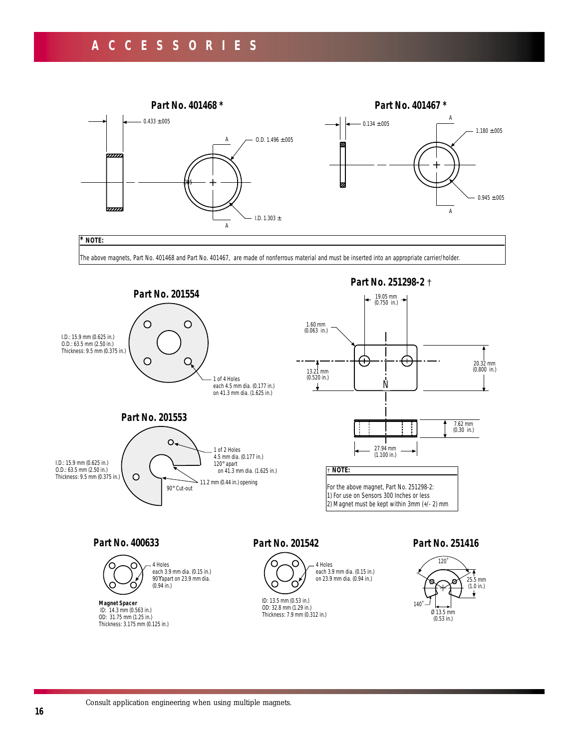# **ACCESSORIES**

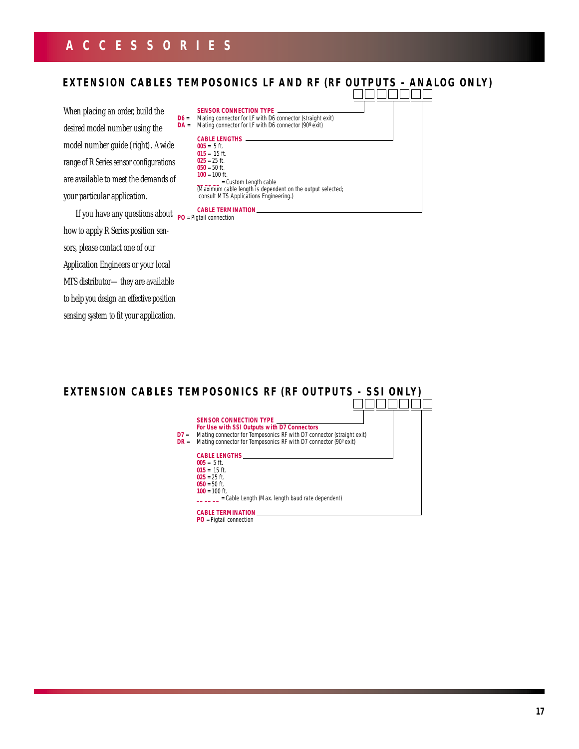# **ACCESSORIES**

# **EXTENSION CABLES TEMPOSONICS LF AND RF (RF OUTPUTS - ANALOG ONLY)**

When placing an order, build the desired model number using the model number guide (right). A wide range of R Series sensor configurations are available to meet the demands of your particular application.

If you have any questions about **PO** = Pigtail connection how to apply R Series position sensors, please contact one of our Application Engineers or your local MTS distributor—they are available to help you design an effective position sensing system to fit your application.

**REBERTE SENSOR CONNECTION TYPE D6** = Mating connector for LF with D6 connector (straight exit) **DA** = Mating connector for LF with D6 connector (90° exit) **CABLE LENGTHS 005** = 5 ft. **015** = 15 ft. **025** = 25 ft. **050** = 50 ft. **100** = 100 ft. **\_\_ \_\_ \_\_** = Custom Length cable (Maximum cable length is dependent on the output selected; consult MTS Applications Engineering.)

#### **CABLE TERMINATION**

# **EXTENSION CABLES TEMPOSONICS RF (RF OUTPUTS - SSI ONLY)**

**SENSOR CONNECTION TYPE** *For Use with SSI Outputs with D7 Connectors* **D7** = Mating connector for Temposonics RF with D7 connector (straight exit) **DR** = Mating connector for Temposonics RF with D7 connector (90° exit) **CABLE LENGTHS**

**005** = 5 ft. **015** = 15 ft. **025** = 25 ft. **050** = 50 ft. **100** = 100 ft. **\_\_ \_\_ \_\_** = Cable Length (Max. length baud rate dependent) **CABLE TERMINATION**

**PO** = Pigtail connection